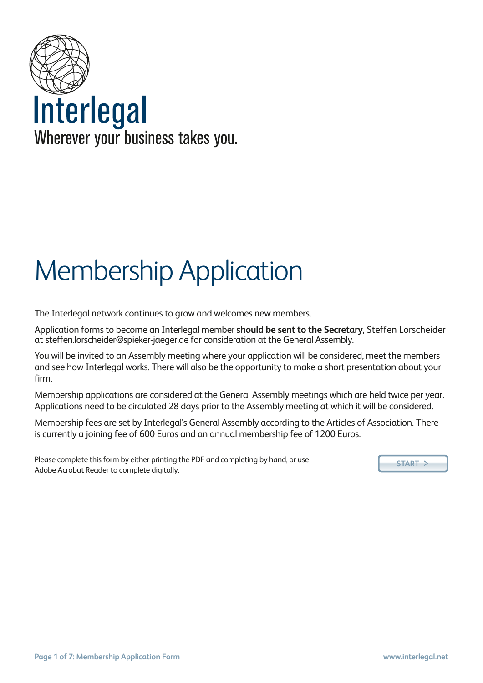

# Membership Application

The Interlegal network continues to grow and welcomes new members.

Application forms to become an Interlegal member **should be sent to the Secretary**, Steffen Lorscheider at [steffen.lorscheider@spieker-jaeger.de](mailto:jshulman@shulmans.co.uk) for consideration at the General Assembly.

You will be invited to an Assembly meeting where your application will be considered, meet the members and see how Interlegal works. There will also be the opportunity to make a short presentation about your firm.

Membership applications are considered at the General Assembly meetings which are held twice per year. Applications need to be circulated 28 days prior to the Assembly meeting at which it will be considered.

Membership fees are set by Interlegal's General Assembly according to the Articles of Association. There is currently a joining fee of 600 Euros and an annual membership fee of 1200 Euros.

Please complete this form by either printing the PDF and completing by hand, or use Adobe Acrobat Reader to complete digitally.

**START** >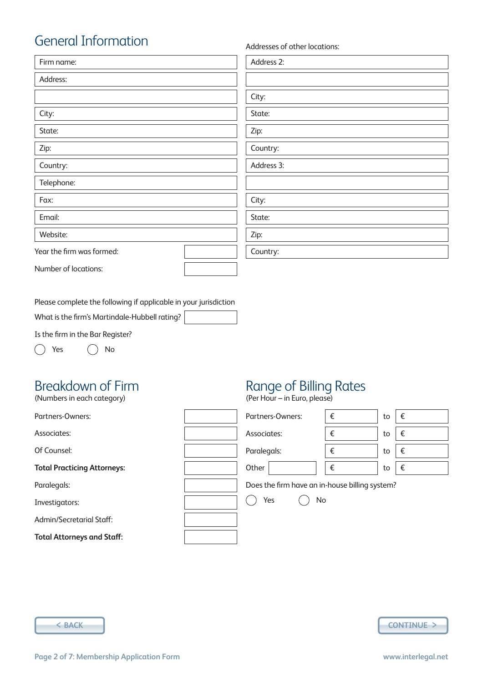# General Information

| Firm name:                | Address 2: |
|---------------------------|------------|
| Address:                  |            |
|                           | City:      |
| City:                     | State:     |
| State:                    | Zip:       |
| Zip:                      | Country:   |
| Country:                  | Address 3: |
| Telephone:                |            |
| Fax:                      | City:      |
| Email:                    | State:     |
| Website:                  | Zip:       |
| Year the firm was formed: | Country:   |
| Number of locations:      |            |

Please complete the following if applicable in your jurisdiction

What is the firm's Martindale-Hubbell rating?

Is the firm in the Bar Register?

Yes  $\bigcap$  No

# Breakdown of Firm

#### Partners-Owners: Associates: Of Counsel: **Total Practicing Attorneys:** Paralegals: Investigators: Admin/Secretarial Staff: **Total Attorneys and Staff:** Partners-Owners:  $\|\epsilon\|$  to  $\|\epsilon\|$ Associates:  $\begin{vmatrix} \epsilon & \epsilon \\ \end{vmatrix}$  to  $\begin{vmatrix} \epsilon & \epsilon \\ \end{vmatrix}$ Paralegals:  $\begin{vmatrix} \epsilon & \epsilon \\ \end{vmatrix}$  to  $\begin{vmatrix} \epsilon & \epsilon \\ \end{vmatrix}$ Other  $\vert \qquad \vert \in$   $\vert$  to  $\vert \in$ Does the firm have an in-house billing system?  $\bigcap$  Yes  $\bigcap$  No (Numbers in each category)





#### Range of Billing Rates

(Per Hour – in Euro, please)

Addresses of other locations: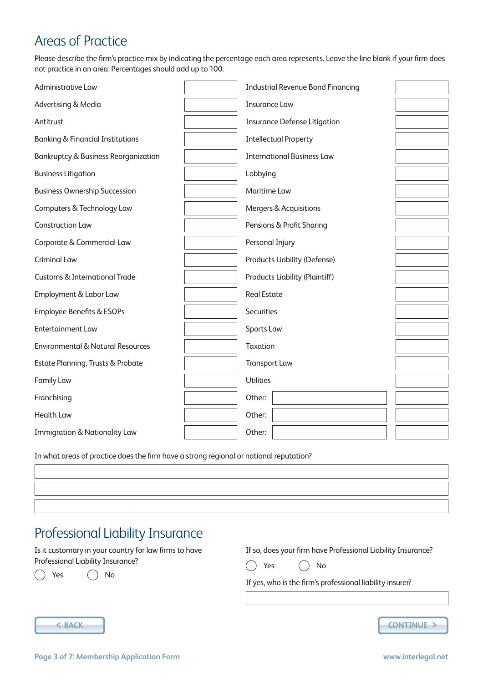# Areas of Practice

Please describe the firm's practice mix by indicating the percentage each area represents. Leave the line blank if your firm does not practice in an area. Percentages should add up to 100.

| Administrative Law                              | <b>Industrial Revenue Bond Financing</b> |  |
|-------------------------------------------------|------------------------------------------|--|
| Advertising & Media                             | <b>Insurance Law</b>                     |  |
| Antitrust                                       | <b>Insurance Defense Litigation</b>      |  |
| <b>Banking &amp; Financial Institutions</b>     | <b>Intellectual Property</b>             |  |
| <b>Bankruptcy &amp; Business Reorganization</b> | <b>International Business Law</b>        |  |
| <b>Business Litigation</b>                      | Lobbying                                 |  |
| <b>Business Ownership Succession</b>            | Maritime Law                             |  |
| Computers & Technology Law                      | Mergers & Acquisitions                   |  |
| <b>Construction Law</b>                         | Pensions & Profit Sharing                |  |
| Corporate & Commercial Law                      | Personal Injury                          |  |
| <b>Criminal Law</b>                             | <b>Products Liability (Defense)</b>      |  |
| <b>Customs &amp; International Trade</b>        | <b>Products Liability (Plaintiff)</b>    |  |
| Employment & Labor Law                          | <b>Real Estate</b>                       |  |
| Employee Benefits & ESOPs                       | <b>Securities</b>                        |  |
| <b>Entertainment Law</b>                        | Sports Law                               |  |
| <b>Environmental &amp; Natural Resources</b>    | Taxation                                 |  |
| Estate Planning, Trusts & Probate               | <b>Transport Law</b>                     |  |
| <b>Family Law</b>                               | <b>Utilities</b>                         |  |
| Franchising                                     | Other:                                   |  |
| <b>Health Law</b>                               | Other:                                   |  |
| <b>Immigration &amp; Nationality Law</b>        | Other:                                   |  |

In what areas of practice does the firm have a strong regional or national reputation?

#### Professional Liability Insurance

Is it customary in your country for law firms to have Professional Liability Insurance?

If so, does your firm have Professional Liability Insurance?  $\bigcap$  Yes  $\bigcap$  No

Yes  $\bigcap$  No  $\lambda$ 

If yes, who is the firm's professional liability insurer?



< **BACK CONTINUE** >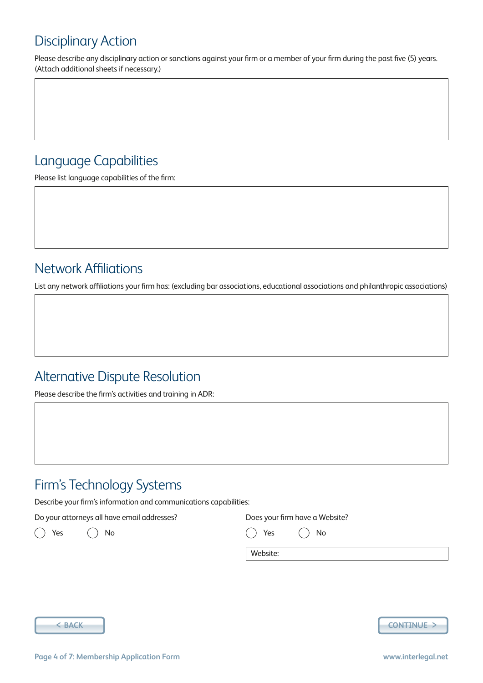# Disciplinary Action

Please describe any disciplinary action or sanctions against your firm or a member of your firm during the past five (5) years. (Attach additional sheets if necessary.)

#### Language Capabilities

Please list language capabilities of the firm:

## Network Affiliations

List any network affiliations your firm has: (excluding bar associations, educational associations and philanthropic associations)

#### Alternative Dispute Resolution

Please describe the firm's activities and training in ADR:

# Firm's Technology Systems

Describe your firm's information and communications capabilities:

Do your attorneys all have email addresses?

Yes () No

Does your firm have a Website?

Yes  $()$  No

Website:



< **BACK CONTINUE** >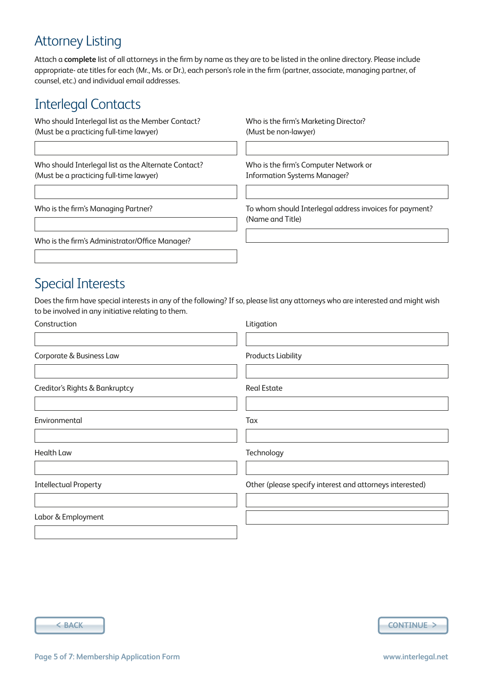## Attorney Listing

Attach a **complete** list of all attorneys in the firm by name as they are to be listed in the online directory. Please include appropriate- ate titles for each (Mr., Ms. or Dr.), each person's role in the firm (partner, associate, managing partner, of counsel, etc.) and individual email addresses.

#### Interlegal Contacts

Who should Interlegal list as the Member Contact? (Must be a practicing full-time lawyer)

Who should Interlegal list as the Alternate Contact? (Must be a practicing full-time lawyer)

Who is the firm's Marketing Director? (Must be non-lawyer)

Who is the firm's Computer Network or Information Systems Manager?

Who is the firm's Managing Partner?

To whom should Interlegal address invoices for payment? (Name and Title)

Who is the firm's Administrator/Office Manager?

#### Special Interests

Does the firm have special interests in any of the following? If so, please list any attorneys who are interested and might wish to be involved in any initiative relating to them.

| Construction                   | Litigation                                               |
|--------------------------------|----------------------------------------------------------|
| Corporate & Business Law       | <b>Products Liability</b>                                |
| Creditor's Rights & Bankruptcy | <b>Real Estate</b>                                       |
| Environmental                  | Tax                                                      |
| <b>Health Law</b>              | Technology                                               |
| <b>Intellectual Property</b>   | Other (please specify interest and attorneys interested) |
| Labor & Employment             |                                                          |

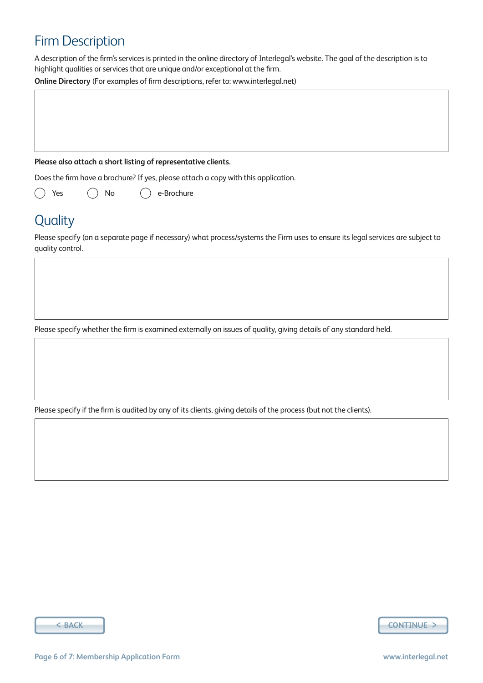## Firm Description

A description of the firm's services is printed in the online directory of Interlegal's website. The goal of the description is to highlight qualities or services that are unique and/or exceptional at the firm.

**Online Directory** (For examples of firm descriptions, refer to: www.interlegal.net)

#### **Please also attach a short listing of representative clients.**

Does the firm have a brochure? If yes, please attach a copy with this application.

Yes  $()$  No e-Brochure  $($ 

#### **Quality**

Please specify (on a separate page if necessary) what process/systems the Firm uses to ensure its legal services are subject to quality control.

Please specify whether the firm is examined externally on issues of quality, giving details of any standard held.

Please specify if the firm is audited by any of its clients, giving details of the process (but not the clients).

< **BACK CONTINUE** >